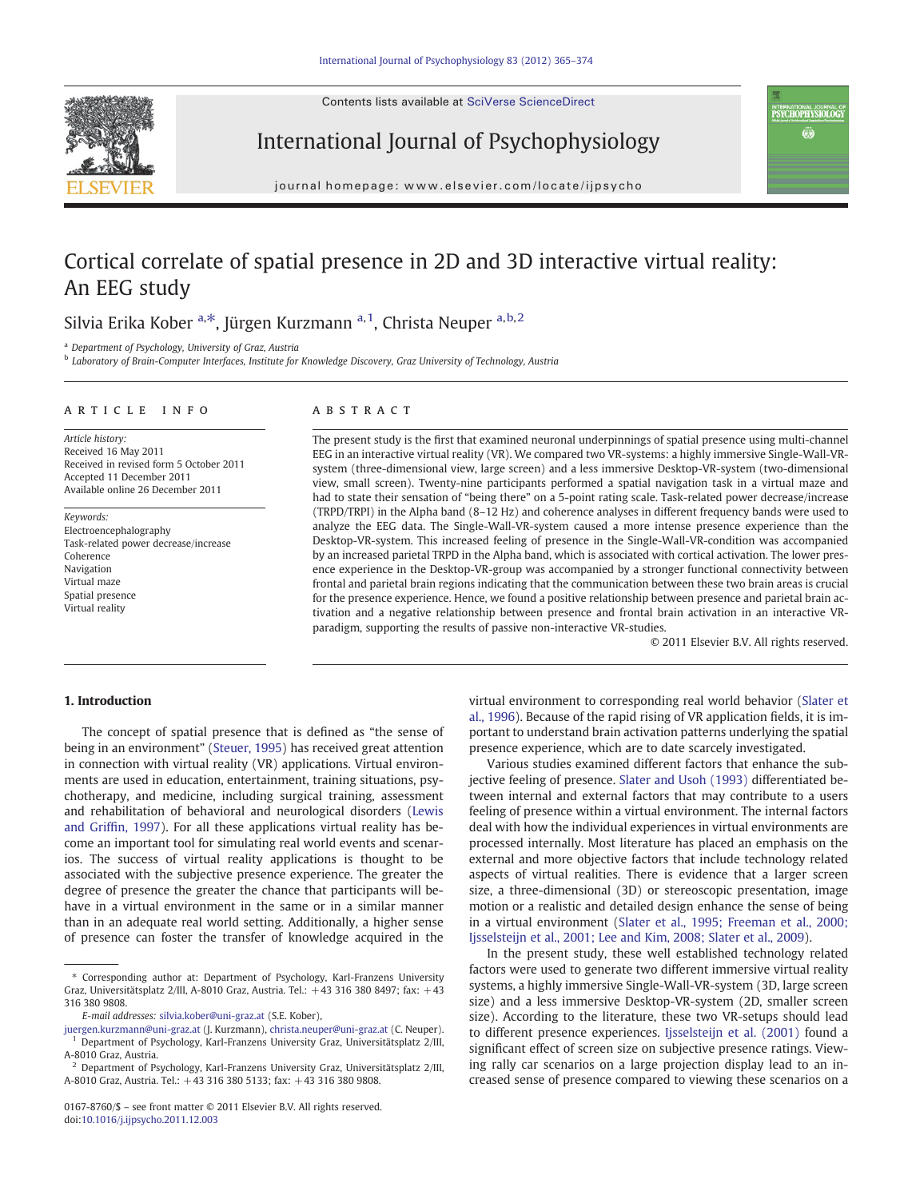Contents lists available at SciVerse ScienceDirect





## International Journal of Psychophysiology

journal homepage: www.elsevier.com/locate/ijpsycho

# Cortical correlate of spatial presence in 2D and 3D interactive virtual reality: An EEG study

### Silvia Erika Kober <sup>a,\*</sup>, Jürgen Kurzmann <sup>a, 1</sup>, Christa Neuper <sup>a, b, 2</sup>

<sup>a</sup> Department of Psychology, University of Graz, Austria

<sup>b</sup> Laboratory of Brain-Computer Interfaces, Institute for Knowledge Discovery, Graz University of Technology, Austria

#### article info abstract

Article history: Received 16 May 2011 Received in revised form 5 October 2011 Accepted 11 December 2011 Available online 26 December 2011

Keywords: Electroencephalography Task-related power decrease/increase Coherence Navigation Virtual maze Spatial presence Virtual reality

The present study is the first that examined neuronal underpinnings of spatial presence using multi-channel EEG in an interactive virtual reality (VR). We compared two VR-systems: a highly immersive Single-Wall-VRsystem (three-dimensional view, large screen) and a less immersive Desktop-VR-system (two-dimensional view, small screen). Twenty-nine participants performed a spatial navigation task in a virtual maze and had to state their sensation of "being there" on a 5-point rating scale. Task-related power decrease/increase (TRPD/TRPI) in the Alpha band (8–12 Hz) and coherence analyses in different frequency bands were used to analyze the EEG data. The Single-Wall-VR-system caused a more intense presence experience than the Desktop-VR-system. This increased feeling of presence in the Single-Wall-VR-condition was accompanied by an increased parietal TRPD in the Alpha band, which is associated with cortical activation. The lower presence experience in the Desktop-VR-group was accompanied by a stronger functional connectivity between frontal and parietal brain regions indicating that the communication between these two brain areas is crucial for the presence experience. Hence, we found a positive relationship between presence and parietal brain activation and a negative relationship between presence and frontal brain activation in an interactive VRparadigm, supporting the results of passive non-interactive VR-studies.

© 2011 Elsevier B.V. All rights reserved.

### 1. Introduction

The concept of spatial presence that is defined as "the sense of being in an environment" [\(Steuer, 1995\)](#page--1-0) has received great attention in connection with virtual reality (VR) applications. Virtual environments are used in education, entertainment, training situations, psychotherapy, and medicine, including surgical training, assessment and rehabilitation of behavioral and neurological disorders ([Lewis](#page--1-0) [and Grif](#page--1-0)fin, 1997). For all these applications virtual reality has become an important tool for simulating real world events and scenarios. The success of virtual reality applications is thought to be associated with the subjective presence experience. The greater the degree of presence the greater the chance that participants will behave in a virtual environment in the same or in a similar manner than in an adequate real world setting. Additionally, a higher sense of presence can foster the transfer of knowledge acquired in the virtual environment to corresponding real world behavior [\(Slater et](#page--1-0) [al., 1996\)](#page--1-0). Because of the rapid rising of VR application fields, it is important to understand brain activation patterns underlying the spatial presence experience, which are to date scarcely investigated.

Various studies examined different factors that enhance the subjective feeling of presence. [Slater and Usoh \(1993\)](#page--1-0) differentiated between internal and external factors that may contribute to a users feeling of presence within a virtual environment. The internal factors deal with how the individual experiences in virtual environments are processed internally. Most literature has placed an emphasis on the external and more objective factors that include technology related aspects of virtual realities. There is evidence that a larger screen size, a three-dimensional (3D) or stereoscopic presentation, image motion or a realistic and detailed design enhance the sense of being in a virtual environment ([Slater et al., 1995; Freeman et al., 2000;](#page--1-0) [Ijsselsteijn et al., 2001; Lee and Kim, 2008; Slater et al., 2009](#page--1-0)).

In the present study, these well established technology related factors were used to generate two different immersive virtual reality systems, a highly immersive Single-Wall-VR-system (3D, large screen size) and a less immersive Desktop-VR-system (2D, smaller screen size). According to the literature, these two VR-setups should lead to different presence experiences. [Ijsselsteijn et al. \(2001\)](#page--1-0) found a significant effect of screen size on subjective presence ratings. Viewing rally car scenarios on a large projection display lead to an increased sense of presence compared to viewing these scenarios on a

<sup>⁎</sup> Corresponding author at: Department of Psychology, Karl-Franzens University Graz, Universitätsplatz 2/III, A-8010 Graz, Austria. Tel.: +43 316 380 8497; fax: +43 316 380 9808.

E-mail addresses: [silvia.kober@uni-graz.at](mailto:silvia.kober@uni-graz.at) (S.E. Kober),

[juergen.kurzmann@uni-graz.at](mailto:juergen.kurzmann@uni-graz.at) (J. Kurzmann), [christa.neuper@uni-graz.at](mailto:christa.neuper@uni-graz.at) (C. Neuper). <sup>1</sup> Department of Psychology, Karl-Franzens University Graz, Universitätsplatz 2/III, A-8010 Graz, Austria.

<sup>2</sup> Department of Psychology, Karl-Franzens University Graz, Universitätsplatz 2/III, A-8010 Graz, Austria. Tel.: +43 316 380 5133; fax: +43 316 380 9808.

<sup>0167-8760/\$</sup> – see front matter © 2011 Elsevier B.V. All rights reserved. doi:[10.1016/j.ijpsycho.2011.12.003](http://dx.doi.org/10.1016/j.ijpsycho.2011.12.003)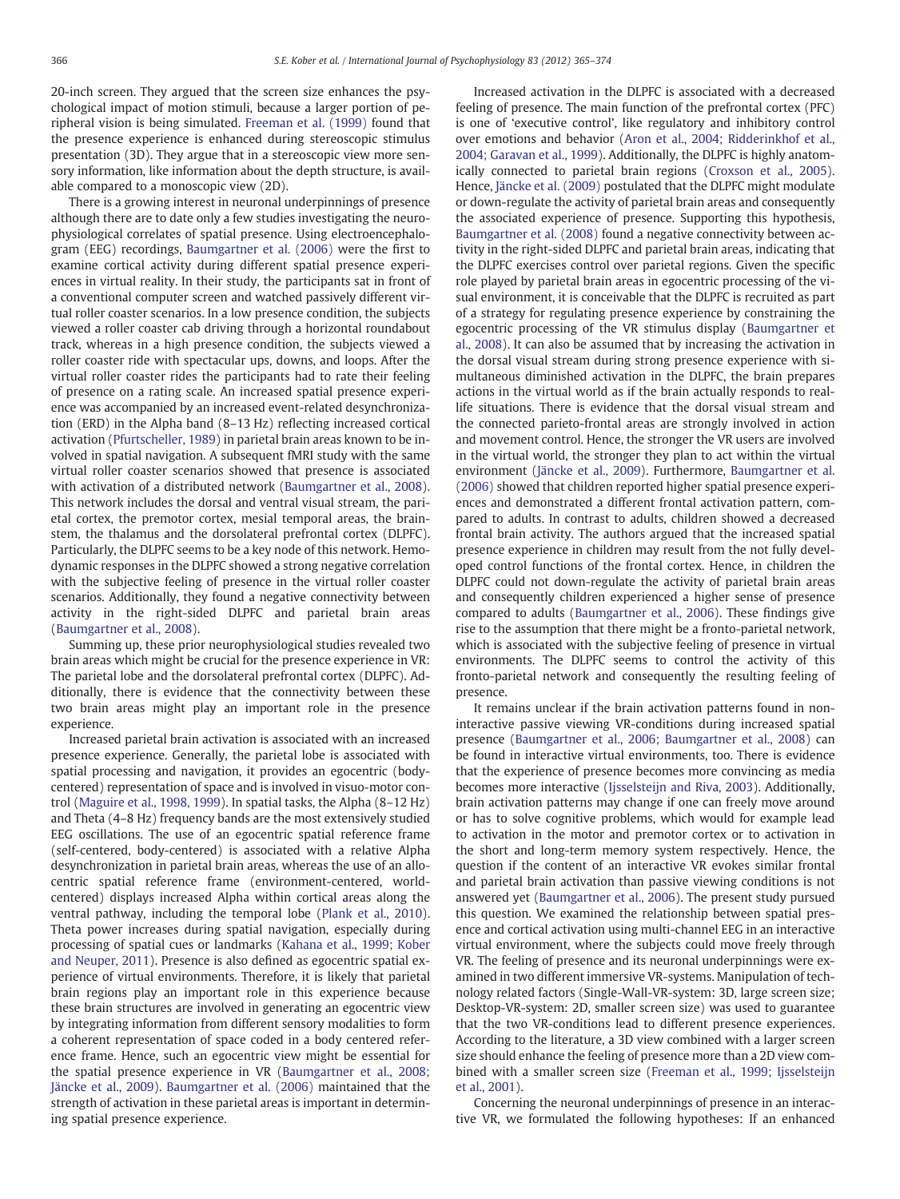20-inch screen. They argued that the screen size enhances the psychological impact of motion stimuli, because a larger portion of peripheral vision is being simulated. [Freeman et al. \(1999\)](#page--1-0) found that the presence experience is enhanced during stereoscopic stimulus presentation (3D). They argue that in a stereoscopic view more sensory information, like information about the depth structure, is available compared to a monoscopic view (2D).

There is a growing interest in neuronal underpinnings of presence although there are to date only a few studies investigating the neurophysiological correlates of spatial presence. Using electroencephalogram (EEG) recordings, [Baumgartner et al. \(2006\)](#page--1-0) were the first to examine cortical activity during different spatial presence experiences in virtual reality. In their study, the participants sat in front of a conventional computer screen and watched passively different virtual roller coaster scenarios. In a low presence condition, the subjects viewed a roller coaster cab driving through a horizontal roundabout track, whereas in a high presence condition, the subjects viewed a roller coaster ride with spectacular ups, downs, and loops. After the virtual roller coaster rides the participants had to rate their feeling of presence on a rating scale. An increased spatial presence experience was accompanied by an increased event-related desynchronization (ERD) in the Alpha band (8–13 Hz) reflecting increased cortical activation ([Pfurtscheller, 1989\)](#page--1-0) in parietal brain areas known to be involved in spatial navigation. A subsequent fMRI study with the same virtual roller coaster scenarios showed that presence is associated with activation of a distributed network [\(Baumgartner et al., 2008](#page--1-0)). This network includes the dorsal and ventral visual stream, the parietal cortex, the premotor cortex, mesial temporal areas, the brainstem, the thalamus and the dorsolateral prefrontal cortex (DLPFC). Particularly, the DLPFC seems to be a key node of this network. Hemodynamic responses in the DLPFC showed a strong negative correlation with the subjective feeling of presence in the virtual roller coaster scenarios. Additionally, they found a negative connectivity between activity in the right-sided DLPFC and parietal brain areas [\(Baumgartner et al., 2008](#page--1-0)).

Summing up, these prior neurophysiological studies revealed two brain areas which might be crucial for the presence experience in VR: The parietal lobe and the dorsolateral prefrontal cortex (DLPFC). Additionally, there is evidence that the connectivity between these two brain areas might play an important role in the presence experience.

Increased parietal brain activation is associated with an increased presence experience. Generally, the parietal lobe is associated with spatial processing and navigation, it provides an egocentric (bodycentered) representation of space and is involved in visuo-motor control [\(Maguire et al., 1998, 1999\)](#page--1-0). In spatial tasks, the Alpha (8–12 Hz) and Theta (4–8 Hz) frequency bands are the most extensively studied EEG oscillations. The use of an egocentric spatial reference frame (self-centered, body-centered) is associated with a relative Alpha desynchronization in parietal brain areas, whereas the use of an allocentric spatial reference frame (environment-centered, worldcentered) displays increased Alpha within cortical areas along the ventral pathway, including the temporal lobe [\(Plank et al., 2010](#page--1-0)). Theta power increases during spatial navigation, especially during processing of spatial cues or landmarks ([Kahana et al., 1999; Kober](#page--1-0) [and Neuper, 2011](#page--1-0)). Presence is also defined as egocentric spatial experience of virtual environments. Therefore, it is likely that parietal brain regions play an important role in this experience because these brain structures are involved in generating an egocentric view by integrating information from different sensory modalities to form a coherent representation of space coded in a body centered reference frame. Hence, such an egocentric view might be essential for the spatial presence experience in VR ([Baumgartner et al., 2008;](#page--1-0) [Jäncke et al., 2009\)](#page--1-0). [Baumgartner et al. \(2006\)](#page--1-0) maintained that the strength of activation in these parietal areas is important in determining spatial presence experience.

Increased activation in the DLPFC is associated with a decreased feeling of presence. The main function of the prefrontal cortex (PFC) is one of 'executive control', like regulatory and inhibitory control over emotions and behavior [\(Aron et al., 2004; Ridderinkhof et al.,](#page--1-0) [2004; Garavan et al., 1999\)](#page--1-0). Additionally, the DLPFC is highly anatomically connected to parietal brain regions [\(Croxson et al., 2005](#page--1-0)). Hence, [Jäncke et al. \(2009\)](#page--1-0) postulated that the DLPFC might modulate or down-regulate the activity of parietal brain areas and consequently the associated experience of presence. Supporting this hypothesis, [Baumgartner et al. \(2008\)](#page--1-0) found a negative connectivity between activity in the right-sided DLPFC and parietal brain areas, indicating that the DLPFC exercises control over parietal regions. Given the specific role played by parietal brain areas in egocentric processing of the visual environment, it is conceivable that the DLPFC is recruited as part of a strategy for regulating presence experience by constraining the egocentric processing of the VR stimulus display [\(Baumgartner et](#page--1-0) [al., 2008](#page--1-0)). It can also be assumed that by increasing the activation in the dorsal visual stream during strong presence experience with simultaneous diminished activation in the DLPFC, the brain prepares actions in the virtual world as if the brain actually responds to reallife situations. There is evidence that the dorsal visual stream and the connected parieto-frontal areas are strongly involved in action and movement control. Hence, the stronger the VR users are involved in the virtual world, the stronger they plan to act within the virtual environment ([Jäncke et al., 2009](#page--1-0)). Furthermore, [Baumgartner et al.](#page--1-0) [\(2006\)](#page--1-0) showed that children reported higher spatial presence experiences and demonstrated a different frontal activation pattern, compared to adults. In contrast to adults, children showed a decreased frontal brain activity. The authors argued that the increased spatial presence experience in children may result from the not fully developed control functions of the frontal cortex. Hence, in children the DLPFC could not down-regulate the activity of parietal brain areas and consequently children experienced a higher sense of presence compared to adults ([Baumgartner et al., 2006\)](#page--1-0). These findings give rise to the assumption that there might be a fronto-parietal network, which is associated with the subjective feeling of presence in virtual environments. The DLPFC seems to control the activity of this fronto-parietal network and consequently the resulting feeling of presence.

It remains unclear if the brain activation patterns found in noninteractive passive viewing VR-conditions during increased spatial presence [\(Baumgartner et al., 2006; Baumgartner et al., 2008](#page--1-0)) can be found in interactive virtual environments, too. There is evidence that the experience of presence becomes more convincing as media becomes more interactive [\(Ijsselsteijn and Riva, 2003\)](#page--1-0). Additionally, brain activation patterns may change if one can freely move around or has to solve cognitive problems, which would for example lead to activation in the motor and premotor cortex or to activation in the short and long-term memory system respectively. Hence, the question if the content of an interactive VR evokes similar frontal and parietal brain activation than passive viewing conditions is not answered yet ([Baumgartner et al., 2006](#page--1-0)). The present study pursued this question. We examined the relationship between spatial presence and cortical activation using multi-channel EEG in an interactive virtual environment, where the subjects could move freely through VR. The feeling of presence and its neuronal underpinnings were examined in two different immersive VR-systems. Manipulation of technology related factors (Single-Wall-VR-system: 3D, large screen size; Desktop-VR-system: 2D, smaller screen size) was used to guarantee that the two VR-conditions lead to different presence experiences. According to the literature, a 3D view combined with a larger screen size should enhance the feeling of presence more than a 2D view combined with a smaller screen size [\(Freeman et al., 1999; Ijsselsteijn](#page--1-0) [et al., 2001](#page--1-0)).

Concerning the neuronal underpinnings of presence in an interactive VR, we formulated the following hypotheses: If an enhanced